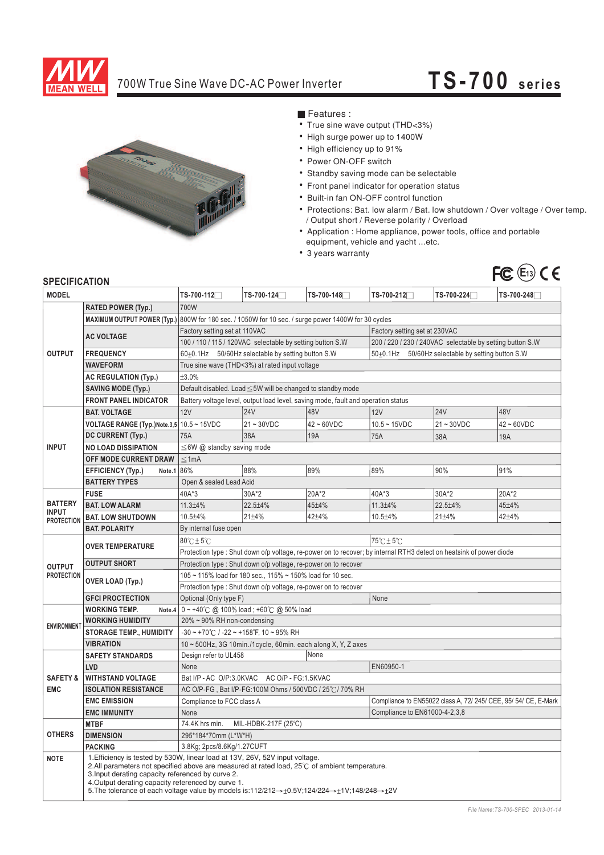

## 700W True Sine Wave DC-AC Power Inverter

## **TS-70 0 serie s**



**Features :** 

- True sine wave output (THD<3%)
- High surge power up to 1400W
- High efficiency up to 91%
- Power ON-OFF switch
- Standby saving mode can be selectable
- Front panel indicator for operation status
- Built-in fan ON-OFF control function
- ¡E¡E¡E¡E¡E¡E¡E¡E¡E¡E Protections: Bat. low alarm / Bat. low shutdown / Over voltage / Over temp. / Output short / Reverse polarity / Overload
- Application : Home appliance, power tools, office and portable equipment, vehicle and yacht ...etc.
- 3 years warranty



## **SPECIFICATION**

| <b>MODEL</b>                                        |                                                                                                                                                                                                                                                                                                       | TS-700-112 <sup>-1</sup>                                                                                               | TS-700-124   | TS-700-148       | TS-700-212 <sup>-1</sup>                                        | TS-700-224 <sup>-1</sup> | TS-700-248       |  |
|-----------------------------------------------------|-------------------------------------------------------------------------------------------------------------------------------------------------------------------------------------------------------------------------------------------------------------------------------------------------------|------------------------------------------------------------------------------------------------------------------------|--------------|------------------|-----------------------------------------------------------------|--------------------------|------------------|--|
| <b>RATED POWER (Typ.)</b>                           |                                                                                                                                                                                                                                                                                                       | 700W                                                                                                                   |              |                  |                                                                 |                          |                  |  |
| <b>OUTPUT</b>                                       | <b>MAXIMUM OUTPUT POWER (Typ.)</b>                                                                                                                                                                                                                                                                    | 800W for 180 sec. / 1050W for 10 sec. / surge power 1400W for 30 cycles                                                |              |                  |                                                                 |                          |                  |  |
|                                                     |                                                                                                                                                                                                                                                                                                       | Factory setting set at 110VAC<br>Factory setting set at 230VAC                                                         |              |                  |                                                                 |                          |                  |  |
|                                                     | <b>AC VOLTAGE</b>                                                                                                                                                                                                                                                                                     | 100 / 110 / 115 / 120VAC selectable by setting button S.W<br>200 / 220 / 230 / 240VAC selectable by setting button S.W |              |                  |                                                                 |                          |                  |  |
|                                                     | <b>FREQUENCY</b>                                                                                                                                                                                                                                                                                      | 60±0.1Hz 50/60Hz selectable by setting button S.W                                                                      |              |                  | 50±0.1Hz 50/60Hz selectable by setting button S.W               |                          |                  |  |
|                                                     | <b>WAVEFORM</b>                                                                                                                                                                                                                                                                                       | True sine wave (THD<3%) at rated input voltage                                                                         |              |                  |                                                                 |                          |                  |  |
|                                                     | <b>AC REGULATION (Typ.)</b>                                                                                                                                                                                                                                                                           | ±3.0%                                                                                                                  |              |                  |                                                                 |                          |                  |  |
|                                                     | <b>SAVING MODE (Typ.)</b>                                                                                                                                                                                                                                                                             | Default disabled. Load ≤5W will be changed to standby mode                                                             |              |                  |                                                                 |                          |                  |  |
|                                                     | <b>FRONT PANEL INDICATOR</b>                                                                                                                                                                                                                                                                          | Battery voltage level, output load level, saving mode, fault and operation status                                      |              |                  |                                                                 |                          |                  |  |
|                                                     | <b>BAT. VOLTAGE</b>                                                                                                                                                                                                                                                                                   | 12V                                                                                                                    | 24V          | 48V              | 12V                                                             | <b>24V</b>               | 48V              |  |
| <b>INPUT</b>                                        | VOLTAGE RANGE (Typ.)Note.3,5 10.5 ~ 15VDC                                                                                                                                                                                                                                                             |                                                                                                                        | $21 - 30VDC$ | $42 \sim 60$ VDC | $10.5 - 15VDC$                                                  | $21 - 30VDC$             | $42 \sim 60$ VDC |  |
|                                                     | DC CURRENT (Typ.)                                                                                                                                                                                                                                                                                     | 75A                                                                                                                    | 38A          | <b>19A</b>       | 75A                                                             | 38A                      | 19A              |  |
|                                                     | <b>NO LOAD DISSIPATION</b>                                                                                                                                                                                                                                                                            | $\leq$ 6W @ standby saving mode                                                                                        |              |                  |                                                                 |                          |                  |  |
|                                                     | OFF MODE CURRENT DRAW                                                                                                                                                                                                                                                                                 | ≤1mA                                                                                                                   |              |                  |                                                                 |                          |                  |  |
|                                                     | <b>EFFICIENCY (Typ.)</b><br>Note.1                                                                                                                                                                                                                                                                    | 86%                                                                                                                    | 88%          | 89%              | 89%                                                             | 90%                      | 91%              |  |
|                                                     | <b>BATTERY TYPES</b>                                                                                                                                                                                                                                                                                  | Open & sealed Lead Acid                                                                                                |              |                  |                                                                 |                          |                  |  |
| <b>BATTERY</b><br><b>INPUT</b><br><b>PROTECTION</b> | <b>FUSE</b>                                                                                                                                                                                                                                                                                           | 40A*3                                                                                                                  | 30A*2        | 20A*2            | 40A*3                                                           | 30A*2                    | 20A*2            |  |
|                                                     | <b>BAT. LOW ALARM</b>                                                                                                                                                                                                                                                                                 | $11.3 + 4%$                                                                                                            | 22.5±4%      | 45±4%            | $11.3 + 4%$                                                     | 22.5±4%                  | 45±4%            |  |
|                                                     | <b>BAT. LOW SHUTDOWN</b>                                                                                                                                                                                                                                                                              | $10.5 + 4%$                                                                                                            | 21±4%        | $42 + 4%$        | 10.5±4%                                                         | $21 + 4%$                | $42 + 4%$        |  |
|                                                     | <b>BAT. POLARITY</b>                                                                                                                                                                                                                                                                                  | By internal fuse open                                                                                                  |              |                  |                                                                 |                          |                  |  |
| <b>OUTPUT</b><br><b>PROTECTION</b>                  |                                                                                                                                                                                                                                                                                                       | 75°C ± 5°C<br>80°C±5°C                                                                                                 |              |                  |                                                                 |                          |                  |  |
|                                                     | <b>OVER TEMPERATURE</b>                                                                                                                                                                                                                                                                               | Protection type: Shut down o/p voltage, re-power on to recover; by internal RTH3 detect on heatsink of power diode     |              |                  |                                                                 |                          |                  |  |
|                                                     | <b>OUTPUT SHORT</b>                                                                                                                                                                                                                                                                                   | Protection type: Shut down o/p voltage, re-power on to recover                                                         |              |                  |                                                                 |                          |                  |  |
|                                                     |                                                                                                                                                                                                                                                                                                       | 105 ~ 115% load for 180 sec., 115% ~ 150% load for 10 sec.                                                             |              |                  |                                                                 |                          |                  |  |
|                                                     | OVER LOAD (Typ.)                                                                                                                                                                                                                                                                                      | Protection type : Shut down o/p voltage, re-power on to recover                                                        |              |                  |                                                                 |                          |                  |  |
|                                                     | <b>GFCI PROCTECTION</b>                                                                                                                                                                                                                                                                               | Optional (Only type F)                                                                                                 |              |                  | None                                                            |                          |                  |  |
|                                                     | <b>WORKING TEMP.</b><br>Note.4                                                                                                                                                                                                                                                                        | 0~+40℃ @ 100% load; +60℃ @ 50% load                                                                                    |              |                  |                                                                 |                          |                  |  |
| <b>ENVIRONMEN</b>                                   | <b>WORKING HUMIDITY</b>                                                                                                                                                                                                                                                                               | 20% ~ 90% RH non-condensing                                                                                            |              |                  |                                                                 |                          |                  |  |
|                                                     | <b>STORAGE TEMP., HUMIDITY</b>                                                                                                                                                                                                                                                                        | $-30 \sim +70^{\circ}$ C / $-22 \sim +158^{\circ}$ F, 10 ~ 95% RH                                                      |              |                  |                                                                 |                          |                  |  |
|                                                     | <b>VIBRATION</b>                                                                                                                                                                                                                                                                                      | 10 ~ 500Hz, 3G 10min./1cycle, 60min. each along X, Y, Z axes                                                           |              |                  |                                                                 |                          |                  |  |
| <b>SAFETY &amp;</b><br><b>EMC</b><br><b>OTHERS</b>  | <b>SAFETY STANDARDS</b>                                                                                                                                                                                                                                                                               | None<br>Design refer to UL458                                                                                          |              |                  |                                                                 |                          |                  |  |
|                                                     | LVD                                                                                                                                                                                                                                                                                                   | None                                                                                                                   |              |                  | EN60950-1                                                       |                          |                  |  |
|                                                     | <b>WITHSTAND VOLTAGE</b>                                                                                                                                                                                                                                                                              | Bat I/P - AC O/P:3.0KVAC AC O/P - FG:1.5KVAC                                                                           |              |                  |                                                                 |                          |                  |  |
|                                                     | <b>ISOLATION RESISTANCE</b>                                                                                                                                                                                                                                                                           | AC O/P-FG, Bat I/P-FG:100M Ohms / 500VDC / 25°C / 70% RH                                                               |              |                  | Compliance to EN55022 class A, 72/ 245/ CEE, 95/ 54/ CE, E-Mark |                          |                  |  |
|                                                     | <b>EMC EMISSION</b>                                                                                                                                                                                                                                                                                   | Compliance to FCC class A                                                                                              |              |                  | Compliance to EN61000-4-2,3,8                                   |                          |                  |  |
|                                                     | <b>EMC IMMUNITY</b><br><b>MTBF</b>                                                                                                                                                                                                                                                                    | None<br>74.4K hrs min.<br>MIL-HDBK-217F (25°C)                                                                         |              |                  |                                                                 |                          |                  |  |
|                                                     | <b>DIMENSION</b>                                                                                                                                                                                                                                                                                      | 295*184*70mm (L*W*H)                                                                                                   |              |                  |                                                                 |                          |                  |  |
|                                                     | <b>PACKING</b>                                                                                                                                                                                                                                                                                        | 3.8Kg; 2pcs/8.6Kg/1.27CUFT                                                                                             |              |                  |                                                                 |                          |                  |  |
| <b>NOTE</b>                                         | 1. Efficiency is tested by 530W, linear load at 13V, 26V, 52V input voltage.                                                                                                                                                                                                                          |                                                                                                                        |              |                  |                                                                 |                          |                  |  |
|                                                     | 2.All parameters not specified above are measured at rated load, 25°C of ambient temperature.<br>3. Input derating capacity referenced by curve 2.<br>4. Output derating capacity referenced by curve 1.<br>5. The tolerance of each voltage value by models is:112/212→±0.5V;124/224→±1V;148/248→±2V |                                                                                                                        |              |                  |                                                                 |                          |                  |  |